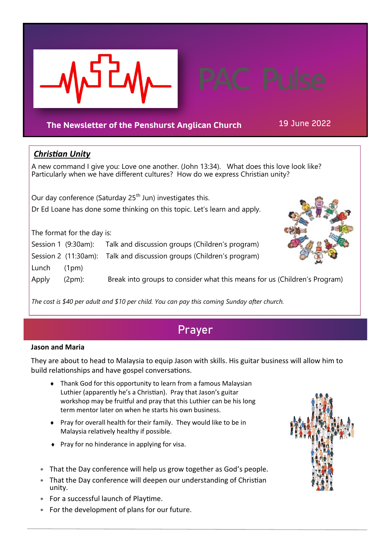

## **The Newsletter of the Penshurst Anglican Church** 19 June 2022

## *Christian Unity*

A new command I give you: Love one another. (John 13:34). What does this love look like? Particularly when we have different cultures? How do we express Christian unity?

Our day conference (Saturday 25<sup>th</sup> Jun) investigates this. Dr Ed Loane has done some thinking on this topic. Let's learn and apply.

The format for the day is:

Session 1 (9:30am): Talk and discussion groups (Children's program)

Session 2 (11:30am): Talk and discussion groups (Children's program)

Lunch (1pm)

Apply (2pm): Break into groups to consider what this means for us (Children's Program)

*The cost is \$40 per adult and \$10 per child. You can pay this coming Sunday after church.*

# **Prayer**

## **Jason and Maria**

They are about to head to Malaysia to equip Jason with skills. His guitar business will allow him to build relationships and have gospel conversations.

- Thank God for this opportunity to learn from a famous Malaysian Luthier (apparently he's a Christian). Pray that Jason's guitar workshop may be fruitful and pray that this Luthier can be his long term mentor later on when he starts his own business.
- Pray for overall health for their family. They would like to be in Malaysia relatively healthy if possible.
- $\bullet$  Pray for no hinderance in applying for visa.
- That the Day conference will help us grow together as God's people.
- That the Day conference will deepen our understanding of Christian unity.
- For a successful launch of Playtime.
- For the development of plans for our future.